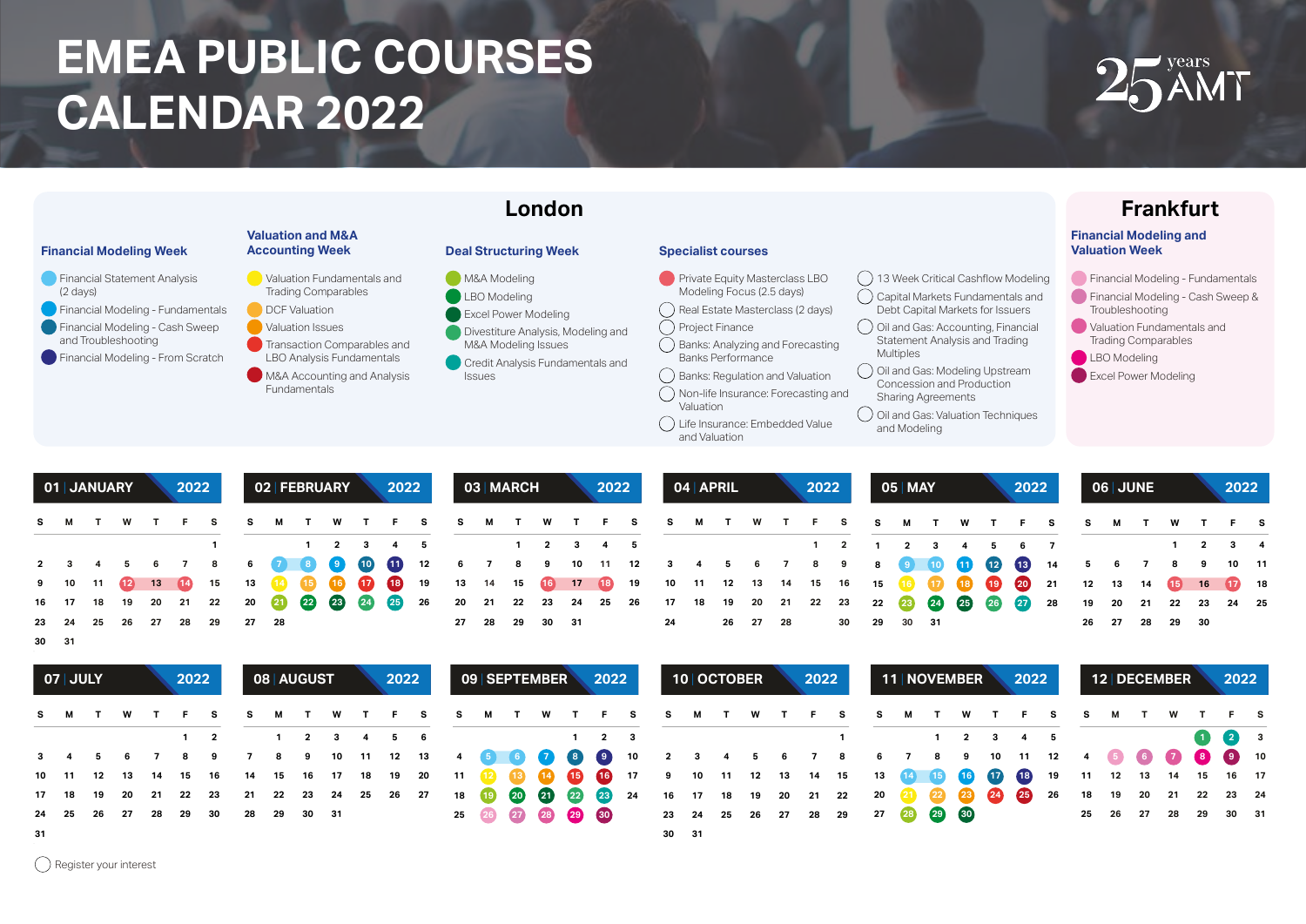## **EMEA PUBLIC COURSES CALENDAR 2022**





|  |  |  |  |  |  | S M T W T F S S M T W T F S S M T W T W T T T S S M T W T T S S M T W T F S                                                                     |  |  |  |  |  |  |  |  |  |  |  |  |  |  |
|--|--|--|--|--|--|-------------------------------------------------------------------------------------------------------------------------------------------------|--|--|--|--|--|--|--|--|--|--|--|--|--|--|
|  |  |  |  |  |  | 1 1 2 3 4 5 1 2 3 4 5 1 2 3 4 5 6 7 1 2 3 4                                                                                                     |  |  |  |  |  |  |  |  |  |  |  |  |  |  |
|  |  |  |  |  |  | 2 3 4 5 6 7 8 6 <b>8 8 9 10 10</b> 12 6 7 8 9 10 11 12 3 4 5 6 7 8 9 8 9 10 10 12 13 4 5 6 7 8 9 10 11                                          |  |  |  |  |  |  |  |  |  |  |  |  |  |  |
|  |  |  |  |  |  | 9 10 11 12 13 12 15 13 12 16 19 10 10 19 13 14 15 10 17 12 19 10 11 12 13 14 15 16 16 10 10 10 10 21 12 13 14 16 16 10 18                       |  |  |  |  |  |  |  |  |  |  |  |  |  |  |
|  |  |  |  |  |  | 16 17 18 19 20 21 22 20 20 20 20 29 29 26 20 21 22 23 24 25 26 17 18 19 20 21 22 23 22 23 2 <mark>23 29 29 29 20</mark> 28 19 20 21 22 23 24 25 |  |  |  |  |  |  |  |  |  |  |  |  |  |  |
|  |  |  |  |  |  | 23  24  25  26  27  28  29  27  28  29  29  29  30  31  24  26  27  28  30  29  30  31  26  27  28  29  30                                      |  |  |  |  |  |  |  |  |  |  |  |  |  |  |

| ۰.<br>v<br>۰.<br>× | ۰,<br>× |
|--------------------|---------|

|    | O7 JULY                                    |  | 2022 |  | 08 AUGUST |  | 2022 |  | 09   SEPTEMBER |  | 2022 |  | 10 OCTOBER |  | 2022 |                                                                                                                                        |  | 11 NOVEMBER | 2022 |  |  | 12 DECEMBER | 2022          |  |
|----|--------------------------------------------|--|------|--|-----------|--|------|--|----------------|--|------|--|------------|--|------|----------------------------------------------------------------------------------------------------------------------------------------|--|-------------|------|--|--|-------------|---------------|--|
|    |                                            |  |      |  |           |  |      |  |                |  |      |  |            |  |      | S M T W T F S S M T W T F S S M T W T W T T T S S M T W T F S S M T W T F S S M T W T F S                                              |  |             |      |  |  |             |               |  |
|    |                                            |  |      |  |           |  |      |  |                |  |      |  |            |  |      | $1 \quad 2 \quad 3 \quad 4 \quad 5 \quad 6$ $1 \quad 2 \quad 3$ $1 \quad 1 \quad 2 \quad 3 \quad 4 \quad 5$                            |  |             |      |  |  |             | $(1)$ $(2)$ 3 |  |
|    |                                            |  |      |  |           |  |      |  |                |  |      |  |            |  |      | 3  4  5  6  7  8  9 7 8 9 10 11 12 13  4 <mark>5  6  0  0  0</mark> 10  2  3  4  5  6  7  8  6  7  8  9 10 11 12  4  6  0  0  0  0 10  |  |             |      |  |  |             |               |  |
|    |                                            |  |      |  |           |  |      |  |                |  |      |  |            |  |      | 10 11 12 13 14 15 16 14 15 16 17 18 19 20 11 12 13 10 11 11 12 13 14 15 13 14 15 10 10 10 10 11 12 13 14 15 16 17                      |  |             |      |  |  |             |               |  |
|    |                                            |  |      |  |           |  |      |  |                |  |      |  |            |  |      | 17 18 19 20 21 22 23 21 22 23 24 25 26 27 18 19 20 20 20 22 24 16 17 18 19 20 21 22 20 21 22 20 20 20 20 20 20 26 18 19 20 21 22 23 24 |  |             |      |  |  |             |               |  |
|    | 24  25  26  27  28  29  30  28  29  30  31 |  |      |  |           |  |      |  |                |  |      |  |            |  |      | 25 26 27 28 29 30 31                                                                                                                   |  |             |      |  |  |             |               |  |
| 31 |                                            |  |      |  |           |  |      |  |                |  |      |  | 30 31      |  |      |                                                                                                                                        |  |             |      |  |  |             |               |  |